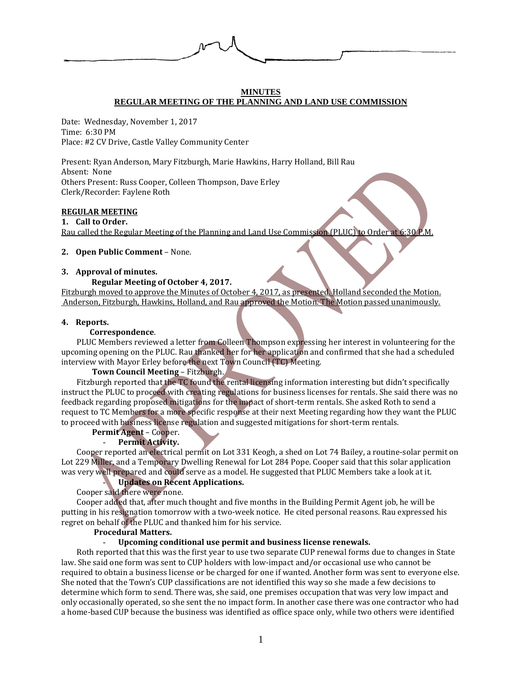

#### **MINUTES REGULAR MEETING OF THE PLANNING AND LAND USE COMMISSION**

Date: Wednesday, November 1, 2017 Time: 6:30 PM Place: #2 CV Drive, Castle Valley Community Center

Present: Ryan Anderson, Mary Fitzburgh, Marie Hawkins, Harry Holland, Bill Rau Absent: None Others Present: Russ Cooper, Colleen Thompson, Dave Erley Clerk/Recorder: Faylene Roth

# **REGULAR MEETING**

**1. Call to Order.** Rau called the Regular Meeting of the Planning and Land Use Commission (PLUC) to Order at 6:30 P.M.

#### **2. Open Public Comment** – None.

# **3. Approval of minutes.**

# **Regular Meeting of October 4, 2017.**

Fitzburgh moved to approve the Minutes of October 4, 2017, as presented. Holland seconded the Motion. Anderson, Fitzburgh, Hawkins, Holland, and Rau approved the Motion. The Motion passed unanimously.

#### **4. Reports.**

#### **Correspondence**.

PLUC Members reviewed a letter from Colleen Thompson expressing her interest in volunteering for the upcoming opening on the PLUC. Rau thanked her for her application and confirmed that she had a scheduled interview with Mayor Erley before the next Town Council (TC) Meeting.

# **Town Council Meeting** – Fitzburgh.

Fitzburgh reported that the TC found the rental licensing information interesting but didn't specifically instruct the PLUC to proceed with creating regulations for business licenses for rentals. She said there was no feedback regarding proposed mitigations for the impact of short-term rentals. She asked Roth to send a request to TC Members for a more specific response at their next Meeting regarding how they want the PLUC to proceed with business license regulation and suggested mitigations for short-term rentals.

# **Permit Agent** – Cooper.

# - **Permit Activity.**

Cooper reported an electrical permit on Lot 331 Keogh, a shed on Lot 74 Bailey, a routine-solar permit on Lot 229 Miller, and a Temporary Dwelling Renewal for Lot 284 Pope. Cooper said that this solar application was very well prepared and could serve as a model. He suggested that PLUC Members take a look at it.

# - **Updates on Recent Applications.**

Cooper said there were none.

Cooper added that, after much thought and five months in the Building Permit Agent job, he will be putting in his resignation tomorrow with a two-week notice. He cited personal reasons. Rau expressed his regret on behalf of the PLUC and thanked him for his service.

#### **Procedural Matters.**

# - **Upcoming conditional use permit and business license renewals.**

Roth reported that this was the first year to use two separate CUP renewal forms due to changes in State law. She said one form was sent to CUP holders with low-impact and/or occasional use who cannot be required to obtain a business license or be charged for one if wanted. Another form was sent to everyone else. She noted that the Town's CUP classifications are not identified this way so she made a few decisions to determine which form to send. There was, she said, one premises occupation that was very low impact and only occasionally operated, so she sent the no impact form. In another case there was one contractor who had a home-based CUP because the business was identified as office space only, while two others were identified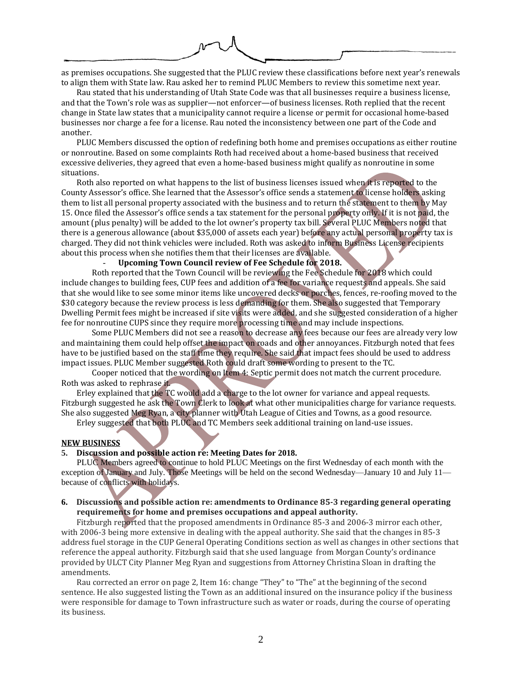as premises occupations. She suggested that the PLUC review these classifications before next year's renewals to align them with State law. Rau asked her to remind PLUC Members to review this sometime next year.

Rau stated that his understanding of Utah State Code was that all businesses require a business license, and that the Town's role was as supplier—not enforcer—of business licenses. Roth replied that the recent change in State law states that a municipality cannot require a license or permit for occasional home-based businesses nor charge a fee for a license. Rau noted the inconsistency between one part of the Code and another.

PLUC Members discussed the option of redefining both home and premises occupations as either routine or nonroutine. Based on some complaints Roth had received about a home-based business that received excessive deliveries, they agreed that even a home-based business might qualify as nonroutine in some situations.

Roth also reported on what happens to the list of business licenses issued when it is reported to the County Assessor's office. She learned that the Assessor's office sends a statement to license holders asking them to list all personal property associated with the business and to return the statement to them by May 15. Once filed the Assessor's office sends a tax statement for the personal property only. If it is not paid, the amount (plus penalty) will be added to the lot owner's property tax bill. Several PLUC Members noted that there is a generous allowance (about \$35,000 of assets each year) before any actual personal property tax is charged. They did not think vehicles were included. Roth was asked to inform Business License recipients about this process when she notifies them that their licenses are available.

### - **Upcoming Town Council review of Fee Schedule for 2018.**

Roth reported that the Town Council will be reviewing the Fee Schedule for 2018 which could include changes to building fees, CUP fees and addition of a fee for variance requests and appeals. She said that she would like to see some minor items like uncovered decks or porches, fences, re-roofing moved to the \$30 category because the review process is less demanding for them. She also suggested that Temporary Dwelling Permit fees might be increased if site visits were added, and she suggested consideration of a higher fee for nonroutine CUPS since they require more processing time and may include inspections.

Some PLUC Members did not see a reason to decrease any fees because our fees are already very low and maintaining them could help offset the impact on roads and other annoyances. Fitzburgh noted that fees have to be justified based on the staff time they require. She said that impact fees should be used to address impact issues. PLUC Member suggested Roth could draft some wording to present to the TC.

Cooper noticed that the wording on Item 4: Septic permit does not match the current procedure. Roth was asked to rephrase it.

Erley explained that the TC would add a charge to the lot owner for variance and appeal requests. Fitzburgh suggested he ask the Town Clerk to look at what other municipalities charge for variance requests. She also suggested Meg Ryan, a city planner with Utah League of Cities and Towns, as a good resource.

Erley suggested that both PLUC and TC Members seek additional training on land-use issues.

#### **NEW BUSINESS**

# **5. Discussion and possible action re: Meeting Dates for 2018.**

PLUC Members agreed to continue to hold PLUC Meetings on the first Wednesday of each month with the exception of January and July. Those Meetings will be held on the second Wednesday—January 10 and July 11 because of conflicts with holidays.

# **6. Discussions and possible action re: amendments to Ordinance 85-3 regarding general operating requirements for home and premises occupations and appeal authority.**

Fitzburgh reported that the proposed amendments in Ordinance 85-3 and 2006-3 mirror each other, with 2006-3 being more extensive in dealing with the appeal authority. She said that the changes in 85-3 address fuel storage in the CUP General Operating Conditions section as well as changes in other sections that reference the appeal authority. Fitzburgh said that she used language from Morgan County's ordinance provided by ULCT City Planner Meg Ryan and suggestions from Attorney Christina Sloan in drafting the amendments.

Rau corrected an error on page 2, Item 16: change "They" to "The" at the beginning of the second sentence. He also suggested listing the Town as an additional insured on the insurance policy if the business were responsible for damage to Town infrastructure such as water or roads, during the course of operating its business.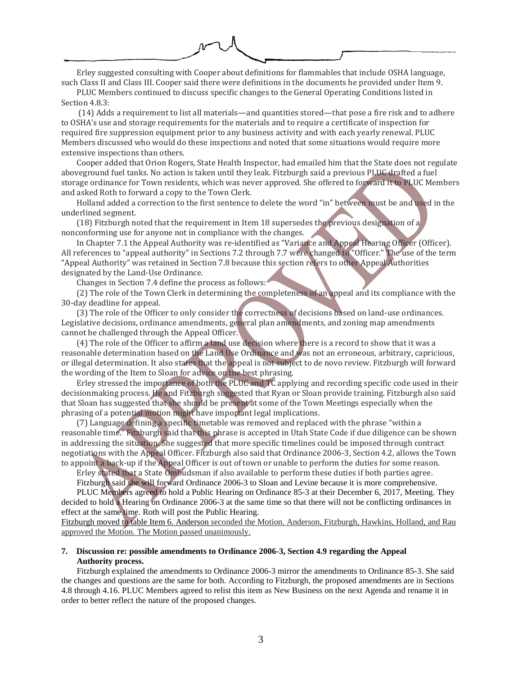Erley suggested consulting with Cooper about definitions for flammables that include OSHA language, such Class II and Class III. Cooper said there were definitions in the documents he provided under Item 9.

PLUC Members continued to discuss specific changes to the General Operating Conditions listed in Section 4.8.3:

(14) Adds a requirement to list all materials—and quantities stored—that pose a fire risk and to adhere to OSHA's use and storage requirements for the materials and to require a certificate of inspection for required fire suppression equipment prior to any business activity and with each yearly renewal. PLUC Members discussed who would do these inspections and noted that some situations would require more extensive inspections than others.

Cooper added that Orion Rogers, State Health Inspector, had emailed him that the State does not regulate aboveground fuel tanks. No action is taken until they leak. Fitzburgh said a previous PLUC drafted a fuel storage ordinance for Town residents, which was never approved. She offered to forward it to PLUC Members and asked Roth to forward a copy to the Town Clerk.

Holland added a correction to the first sentence to delete the word "in" between must be and used in the underlined segment.

(18) Fitzburgh noted that the requirement in Item 18 supersedes the previous designation of a nonconforming use for anyone not in compliance with the changes.

In Chapter 7.1 the Appeal Authority was re-identified as "Variance and Appeal Hearing Officer (Officer). All references to "appeal authority" in Sections 7.2 through 7.7 were changed to "Officer." The use of the term "Appeal Authority" was retained in Section 7.8 because this section refers to other Appeal Authorities designated by the Land-Use Ordinance.

Changes in Section 7.4 define the process as follows:

(2) The role of the Town Clerk in determining the completeness of an appeal and its compliance with the 30-day deadline for appeal.

(3) The role of the Officer to only consider the correctness of decisions based on land-use ordinances. Legislative decisions, ordinance amendments, general plan amendments, and zoning map amendments cannot be challenged through the Appeal Officer.

(4) The role of the Officer to affirm a land use decision where there is a record to show that it was a reasonable determination based on the Land Use Ordinance and was not an erroneous, arbitrary, capricious, or illegal determination. It also states that the appeal is not subject to de novo review. Fitzburgh will forward the wording of the Item to Sloan for advice on the best phrasing.

Erley stressed the importance of both the PLUC and TC applying and recording specific code used in their decisionmaking process. He and Fitzburgh suggested that Ryan or Sloan provide training. Fitzburgh also said that Sloan has suggested that she should be present at some of the Town Meetings especially when the phrasing of a potential motion might have important legal implications.

(7) Language defining a specific timetable was removed and replaced with the phrase "within a reasonable time." Fitzburgh said that this phrase is accepted in Utah State Code if due diligence can be shown in addressing the situation. She suggested that more specific timelines could be imposed through contract negotiations with the Appeal Officer. Fitzburgh also said that Ordinance 2006-3, Section 4.2, allows the Town to appoint a back-up if the Appeal Officer is out of town or unable to perform the duties for some reason.

Erley stated that a State Ombudsman if also available to perform these duties if both parties agree. Fitzburgh said she will forward Ordinance 2006-3 to Sloan and Levine because it is more comprehensive.

PLUC Members agreed to hold a Public Hearing on Ordinance 85-3 at their December 6, 2017, Meeting. They decided to hold a Hearing on Ordinance 2006-3 at the same time so that there will not be conflicting ordinances in effect at the same time. Roth will post the Public Hearing.

Fitzburgh moved to table Item 6. Anderson seconded the Motion. Anderson, Fitzburgh, Hawkins, Holland, and Rau approved the Motion. The Motion passed unanimously.

### **7. Discussion re: possible amendments to Ordinance 2006-3, Section 4.9 regarding the Appeal Authority process.**

Fitzburgh explained the amendments to Ordinance 2006-3 mirror the amendments to Ordinance 85-3. She said the changes and questions are the same for both. According to Fitzburgh, the proposed amendments are in Sections 4.8 through 4.16. PLUC Members agreed to relist this item as New Business on the next Agenda and rename it in order to better reflect the nature of the proposed changes.